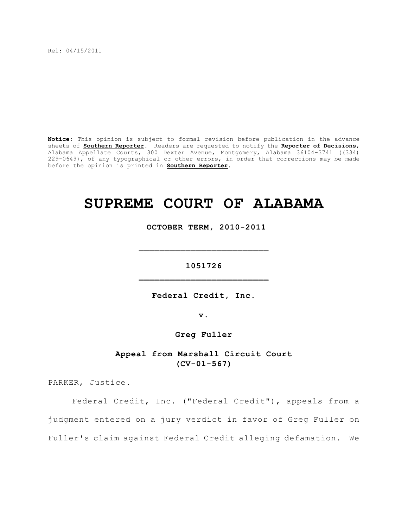Rel: 04/15/2011

**Notice:** This opinion is subject to formal revision before publication in the advance sheets of **Southern Reporter**. Readers are requested to notify the **Reporter of Decisions**, Alabama Appellate Courts, 300 Dexter Avenue, Montgomery, Alabama 36104-3741 ((334) 229-0649), of any typographical or other errors, in order that corrections may be made before the opinion is printed in **Southern Reporter**.

# **SUPREME COURT OF ALABAMA**

 **OCTOBER TERM, 2010-2011**

**1051726 \_\_\_\_\_\_\_\_\_\_\_\_\_\_\_\_\_\_\_\_\_\_\_\_\_**

**\_\_\_\_\_\_\_\_\_\_\_\_\_\_\_\_\_\_\_\_\_\_\_\_\_**

**Federal Credit, Inc.**

**v.**

**Greg Fuller**

# **Appeal from Marshall Circuit Court (CV-01-567)**

PARKER, Justice.

Federal Credit, Inc. ("Federal Credit"), appeals from a judgment entered on a jury verdict in favor of Greg Fuller on Fuller's claim against Federal Credit alleging defamation. We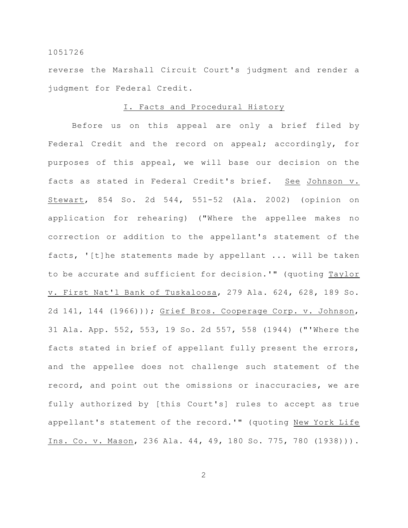reverse the Marshall Circuit Court's judgment and render a judgment for Federal Credit.

## I. Facts and Procedural History

Before us on this appeal are only a brief filed by Federal Credit and the record on appeal; accordingly, for purposes of this appeal, we will base our decision on the facts as stated in Federal Credit's brief. See Johnson v. Stewart, 854 So. 2d 544, 551-52 (Ala. 2002) (opinion on application for rehearing) ("Where the appellee makes no correction or addition to the appellant's statement of the facts, '[t]he statements made by appellant ... will be taken to be accurate and sufficient for decision.'" (quoting Taylor v. First Nat'l Bank of Tuskaloosa, 279 Ala. 624, 628, 189 So. 2d 141, 144 (1966))); Grief Bros. Cooperage Corp. v. Johnson, 31 Ala. App. 552, 553, 19 So. 2d 557, 558 (1944) ("'Where the facts stated in brief of appellant fully present the errors, and the appellee does not challenge such statement of the record, and point out the omissions or inaccuracies, we are fully authorized by [this Court's] rules to accept as true appellant's statement of the record.'" (quoting New York Life Ins. Co. v. Mason, 236 Ala. 44, 49, 180 So. 775, 780 (1938))).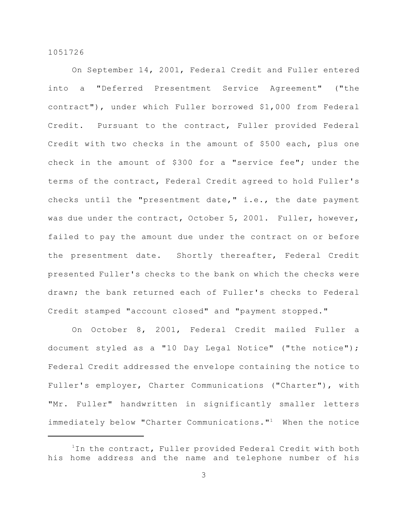On September 14, 2001, Federal Credit and Fuller entered into a "Deferred Presentment Service Agreement" ("the contract"), under which Fuller borrowed \$1,000 from Federal Credit. Pursuant to the contract, Fuller provided Federal Credit with two checks in the amount of \$500 each, plus one check in the amount of \$300 for a "service fee"; under the terms of the contract, Federal Credit agreed to hold Fuller's checks until the "presentment date," i.e., the date payment was due under the contract, October 5, 2001. Fuller, however, failed to pay the amount due under the contract on or before the presentment date. Shortly thereafter, Federal Credit presented Fuller's checks to the bank on which the checks were drawn; the bank returned each of Fuller's checks to Federal Credit stamped "account closed" and "payment stopped."

On October 8, 2001, Federal Credit mailed Fuller a document styled as a "10 Day Legal Notice" ("the notice"); Federal Credit addressed the envelope containing the notice to Fuller's employer, Charter Communications ("Charter"), with "Mr. Fuller" handwritten in significantly smaller letters immediately below "Charter Communications."<sup>1</sup> When the notice

 $1$ In the contract, Fuller provided Federal Credit with both his home address and the name and telephone number of his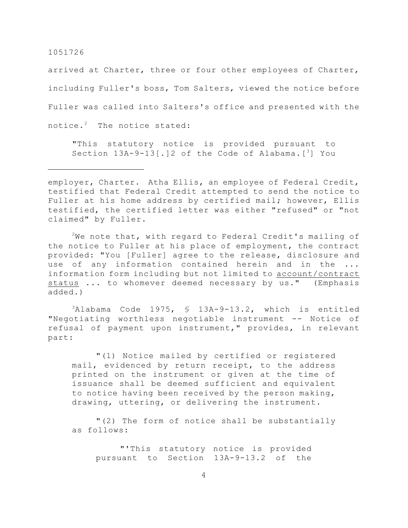arrived at Charter, three or four other employees of Charter, including Fuller's boss, Tom Salters, viewed the notice before Fuller was called into Salters's office and presented with the notice. $2$  The notice stated:

"This statutory notice is provided pursuant to Section  $13A-9-13$  [.] 2 of the Code of Alabama. [<sup>3</sup>] You

employer, Charter. Atha Ellis, an employee of Federal Credit, testified that Federal Credit attempted to send the notice to Fuller at his home address by certified mail; however, Ellis testified, the certified letter was either "refused" or "not claimed" by Fuller.

 $2$ We note that, with regard to Federal Credit's mailing of the notice to Fuller at his place of employment, the contract provided: "You [Fuller] agree to the release, disclosure and use of any information contained herein and in the ... information form including but not limited to account/contract status ... to whomever deemed necessary by us." (Emphasis added.)

 $3$ Alabama Code 1975, § 13A-9-13.2, which is entitled "Negotiating worthless negotiable instrument -- Notice of refusal of payment upon instrument," provides, in relevant part:

"(1) Notice mailed by certified or registered mail, evidenced by return receipt, to the address printed on the instrument or given at the time of issuance shall be deemed sufficient and equivalent to notice having been received by the person making, drawing, uttering, or delivering the instrument.

"(2) The form of notice shall be substantially as follows:

"'This statutory notice is provided pursuant to Section 13A-9-13.2 of the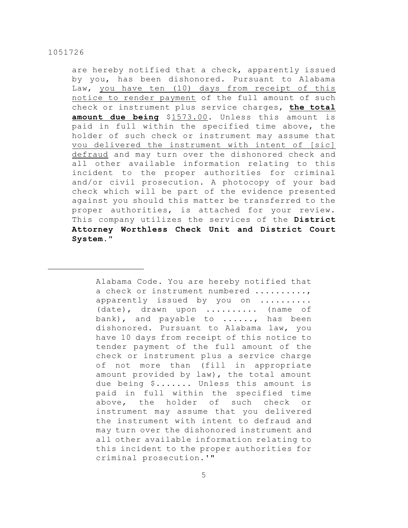are hereby notified that a check, apparently issued by you, has been dishonored. Pursuant to Alabama Law, you have ten (10) days from receipt of this notice to render payment of the full amount of such check or instrument plus service charges, **the total amount due being** \$1573.00. Unless this amount is paid in full within the specified time above, the holder of such check or instrument may assume that vou delivered the instrument with intent of [sic] defraud and may turn over the dishonored check and all other available information relating to this incident to the proper authorities for criminal and/or civil prosecution. A photocopy of your bad check which will be part of the evidence presented against you should this matter be transferred to the proper authorities, is attached for your review. This company utilizes the services of the **District Attorney Worthless Check Unit and District Court System**."

Alabama Code. You are hereby notified that a check or instrument numbered ........., apparently issued by you on ......... (date), drawn upon .......... (name of bank), and payable to ......, has been dishonored. Pursuant to Alabama law, you have 10 days from receipt of this notice to tender payment of the full amount of the check or instrument plus a service charge of not more than (fill in appropriate amount provided by law), the total amount due being \$....... Unless this amount is paid in full within the specified time above, the holder of such check or instrument may assume that you delivered the instrument with intent to defraud and may turn over the dishonored instrument and all other available information relating to this incident to the proper authorities for criminal prosecution.'"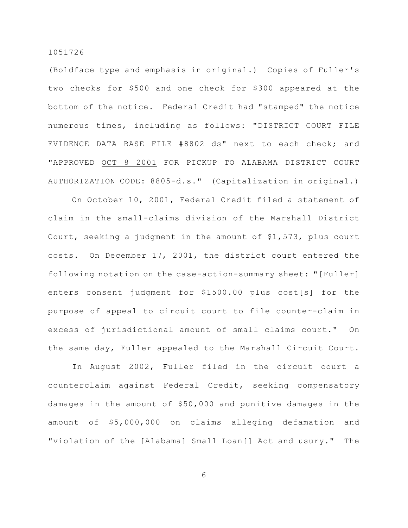(Boldface type and emphasis in original.) Copies of Fuller's two checks for \$500 and one check for \$300 appeared at the bottom of the notice. Federal Credit had "stamped" the notice numerous times, including as follows: "DISTRICT COURT FILE EVIDENCE DATA BASE FILE #8802 ds" next to each check; and "APPROVED OCT 8 2001 FOR PICKUP TO ALABAMA DISTRICT COURT AUTHORIZATION CODE: 8805-d.s." (Capitalization in original.)

On October 10, 2001, Federal Credit filed a statement of claim in the small-claims division of the Marshall District Court, seeking a judgment in the amount of \$1,573, plus court costs. On December 17, 2001, the district court entered the following notation on the case-action-summary sheet: "[Fuller] enters consent judgment for \$1500.00 plus cost[s] for the purpose of appeal to circuit court to file counter-claim in excess of jurisdictional amount of small claims court." On the same day, Fuller appealed to the Marshall Circuit Court.

In August 2002, Fuller filed in the circuit court a counterclaim against Federal Credit, seeking compensatory damages in the amount of \$50,000 and punitive damages in the amount of \$5,000,000 on claims alleging defamation and "violation of the [Alabama] Small Loan[] Act and usury." The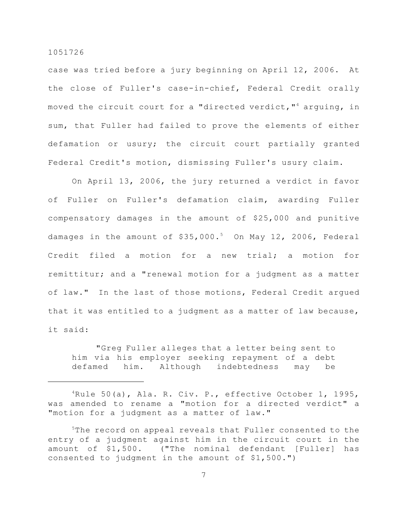case was tried before a jury beginning on April 12, 2006. At the close of Fuller's case-in-chief, Federal Credit orally moved the circuit court for a "directed verdict, "<sup>4</sup> arguing, in sum, that Fuller had failed to prove the elements of either defamation or usury; the circuit court partially granted Federal Credit's motion, dismissing Fuller's usury claim.

On April 13, 2006, the jury returned a verdict in favor of Fuller on Fuller's defamation claim, awarding Fuller compensatory damages in the amount of \$25,000 and punitive damages in the amount of  $$35,000.^5$  On May 12, 2006, Federal Credit filed a motion for a new trial; a motion for remittitur; and a "renewal motion for a judgment as a matter of law." In the last of those motions, Federal Credit argued that it was entitled to a judgment as a matter of law because, it said:

"Greg Fuller alleges that a letter being sent to him via his employer seeking repayment of a debt defamed him. Although indebtedness may be

 ${}^{4}$ Rule 50(a), Ala. R. Civ. P., effective October 1, 1995, was amended to rename a "motion for a directed verdict" a "motion for a judgment as a matter of law."

 $5$ The record on appeal reveals that Fuller consented to the entry of a judgment against him in the circuit court in the amount of \$1,500. ("The nominal defendant [Fuller] has consented to judgment in the amount of \$1,500.")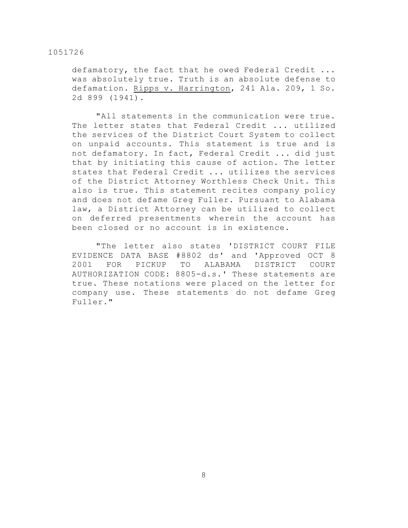defamatory, the fact that he owed Federal Credit ... was absolutely true. Truth is an absolute defense to defamation. Ripps v. Harrington, 241 Ala. 209, 1 So. 2d 899 (1941).

"All statements in the communication were true. The letter states that Federal Credit ... utilized the services of the District Court System to collect on unpaid accounts. This statement is true and is not defamatory. In fact, Federal Credit ... did just that by initiating this cause of action. The letter states that Federal Credit ... utilizes the services of the District Attorney Worthless Check Unit. This also is true. This statement recites company policy and does not defame Greg Fuller. Pursuant to Alabama law, a District Attorney can be utilized to collect on deferred presentments wherein the account has been closed or no account is in existence.

"The letter also states 'DISTRICT COURT FILE EVIDENCE DATA BASE #8802 ds' and 'Approved OCT 8 2001 FOR PICKUP TO ALABAMA DISTRICT COURT AUTHORIZATION CODE: 8805-d.s.' These statements are true. These notations were placed on the letter for company use. These statements do not defame Greg Fuller."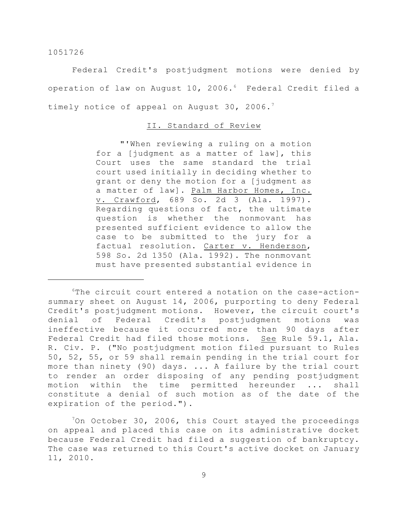Federal Credit's postjudgment motions were denied by operation of law on August 10, 2006.<sup>6</sup> Federal Credit filed a timely notice of appeal on August 30, 2006.<sup>7</sup>

# II. Standard of Review

"'When reviewing a ruling on a motion for a [judgment as a matter of law], this Court uses the same standard the trial court used initially in deciding whether to grant or deny the motion for a [judgment as a matter of law]. Palm Harbor Homes, Inc. v. Crawford, 689 So. 2d 3 (Ala. 1997). Regarding questions of fact, the ultimate question is whether the nonmovant has presented sufficient evidence to allow the case to be submitted to the jury for a factual resolution. Carter v. Henderson, 598 So. 2d 1350 (Ala. 1992). The nonmovant must have presented substantial evidence in

 $6$ The circuit court entered a notation on the case-actionsummary sheet on August 14, 2006, purporting to deny Federal Credit's postjudgment motions. However, the circuit court's denial of Federal Credit's postjudgment motions was ineffective because it occurred more than 90 days after Federal Credit had filed those motions. See Rule 59.1, Ala. R. Civ. P. ("No postjudgment motion filed pursuant to Rules 50, 52, 55, or 59 shall remain pending in the trial court for more than ninety (90) days. ... A failure by the trial court to render an order disposing of any pending postjudgment motion within the time permitted hereunder ... shall constitute a denial of such motion as of the date of the expiration of the period.").

 $\frac{70n}{ }$  October 30, 2006, this Court stayed the proceedings on appeal and placed this case on its administrative docket because Federal Credit had filed a suggestion of bankruptcy. The case was returned to this Court's active docket on January 11, 2010.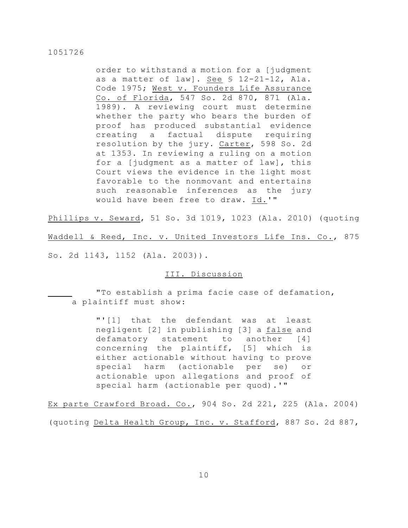order to withstand a motion for a [judgment as a matter of law]. See § 12-21-12, Ala. Code 1975; West v. Founders Life Assurance Co. of Florida, 547 So. 2d 870, 871 (Ala. 1989). A reviewing court must determine whether the party who bears the burden of proof has produced substantial evidence creating a factual dispute requiring resolution by the jury. Carter, 598 So. 2d at 1353. In reviewing a ruling on a motion for a [judgment as a matter of law], this Court views the evidence in the light most favorable to the nonmovant and entertains such reasonable inferences as the jury would have been free to draw. Id.'"

Phillips v. Seward, 51 So. 3d 1019, 1023 (Ala. 2010) (quoting

Waddell & Reed, Inc. v. United Investors Life Ins. Co., 875

So. 2d 1143, 1152 (Ala. 2003)).

# III. Discussion

"To establish a prima facie case of defamation, a plaintiff must show:

> "'[1] that the defendant was at least negligent [2] in publishing [3] a false and defamatory statement to another [4] concerning the plaintiff, [5] which is either actionable without having to prove special harm (actionable per se) or actionable upon allegations and proof of special harm (actionable per quod).'"

Ex parte Crawford Broad. Co., 904 So. 2d 221, 225 (Ala. 2004) (quoting Delta Health Group, Inc. v. Stafford, 887 So. 2d 887,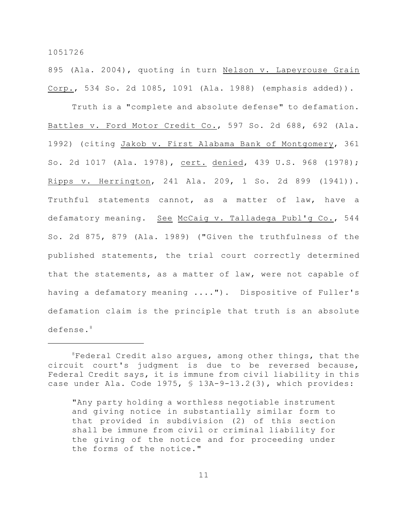895 (Ala. 2004), quoting in turn Nelson v. Lapeyrouse Grain Corp., 534 So. 2d 1085, 1091 (Ala. 1988) (emphasis added)).

Truth is a "complete and absolute defense" to defamation. Battles v. Ford Motor Credit Co., 597 So. 2d 688, 692 (Ala. 1992) (citing Jakob v. First Alabama Bank of Montgomery, 361 So. 2d 1017 (Ala. 1978), cert. denied, 439 U.S. 968 (1978); Ripps v. Herrington, 241 Ala. 209, 1 So. 2d 899 (1941)). Truthful statements cannot, as a matter of law, have a defamatory meaning. See McCaig v. Talladega Publ'g Co., 544 So. 2d 875, 879 (Ala. 1989) ("Given the truthfulness of the published statements, the trial court correctly determined that the statements, as a matter of law, were not capable of having a defamatory meaning ...."). Dispositive of Fuller's defamation claim is the principle that truth is an absolute defense.<sup>8</sup>

 ${}^{8}$ Federal Credit also argues, among other things, that the circuit court's judgment is due to be reversed because, Federal Credit says, it is immune from civil liability in this case under Ala. Code 1975, § 13A-9-13.2(3), which provides:

<sup>&</sup>quot;Any party holding a worthless negotiable instrument and giving notice in substantially similar form to that provided in subdivision (2) of this section shall be immune from civil or criminal liability for the giving of the notice and for proceeding under the forms of the notice."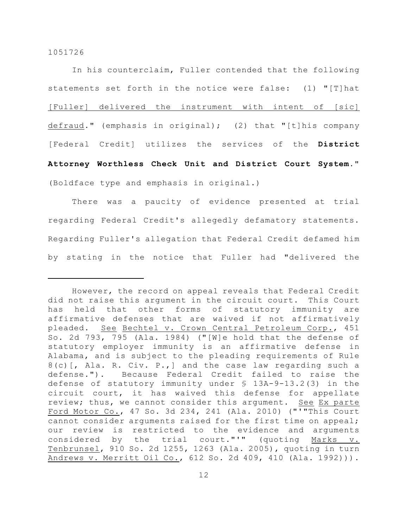In his counterclaim, Fuller contended that the following statements set forth in the notice were false: (1) "[T]hat [Fuller] delivered the instrument with intent of [sic] defraud." (emphasis in original); (2) that "[t]his company [Federal Credit] utilizes the services of the **District Attorney Worthless Check Unit and District Court System**." (Boldface type and emphasis in original.)

There was a paucity of evidence presented at trial regarding Federal Credit's allegedly defamatory statements. Regarding Fuller's allegation that Federal Credit defamed him by stating in the notice that Fuller had "delivered the

However, the record on appeal reveals that Federal Credit did not raise this argument in the circuit court. This Court has held that other forms of statutory immunity are affirmative defenses that are waived if not affirmatively pleaded. See Bechtel v. Crown Central Petroleum Corp., 451 So. 2d 793, 795 (Ala. 1984) ("[W]e hold that the defense of statutory employer immunity is an affirmative defense in Alabama, and is subject to the pleading requirements of Rule 8(c)[, Ala. R. Civ. P.,] and the case law regarding such a defense."). Because Federal Credit failed to raise the defense of statutory immunity under § 13A-9-13.2(3) in the circuit court, it has waived this defense for appellate review; thus, we cannot consider this argument. See Ex parte Ford Motor Co., 47 So. 3d 234, 241 (Ala. 2010) ("'"This Court cannot consider arguments raised for the first time on appeal; our review is restricted to the evidence and arguments considered by the trial court."'" (quoting Marks v. Tenbrunsel, 910 So. 2d 1255, 1263 (Ala. 2005), quoting in turn Andrews v. Merritt Oil Co., 612 So. 2d 409, 410 (Ala. 1992))).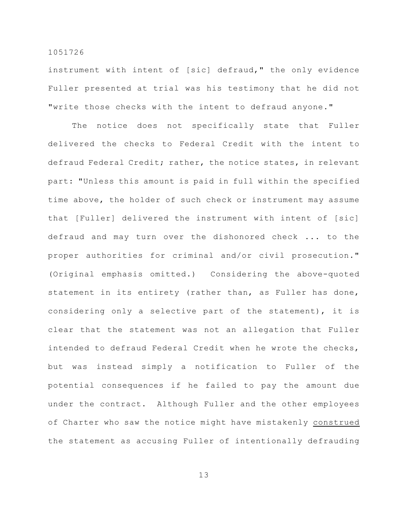instrument with intent of [sic] defraud," the only evidence Fuller presented at trial was his testimony that he did not "write those checks with the intent to defraud anyone."

The notice does not specifically state that Fuller delivered the checks to Federal Credit with the intent to defraud Federal Credit; rather, the notice states, in relevant part: "Unless this amount is paid in full within the specified time above, the holder of such check or instrument may assume that [Fuller] delivered the instrument with intent of [sic] defraud and may turn over the dishonored check ... to the proper authorities for criminal and/or civil prosecution." (Original emphasis omitted.) Considering the above-quoted statement in its entirety (rather than, as Fuller has done, considering only a selective part of the statement), it is clear that the statement was not an allegation that Fuller intended to defraud Federal Credit when he wrote the checks, but was instead simply a notification to Fuller of the potential consequences if he failed to pay the amount due under the contract. Although Fuller and the other employees of Charter who saw the notice might have mistakenly construed the statement as accusing Fuller of intentionally defrauding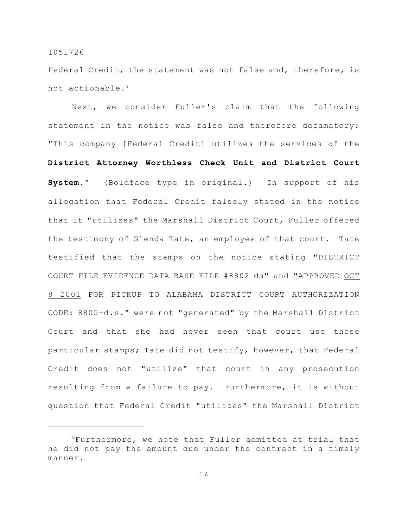Federal Credit, the statement was not false and, therefore, is not actionable.<sup>9</sup>

Next, we consider Fuller's claim that the following statement in the notice was false and therefore defamatory: "This company [Federal Credit] utilizes the services of the **District Attorney Worthless Check Unit and District Court System**." (Boldface type in original.) In support of his allegation that Federal Credit falsely stated in the notice that it "utilizes" the Marshall District Court, Fuller offered the testimony of Glenda Tate, an employee of that court. Tate testified that the stamps on the notice stating "DISTRICT COURT FILE EVIDENCE DATA BASE FILE #8802 ds" and "APPROVED OCT 8 2001 FOR PICKUP TO ALABAMA DISTRICT COURT AUTHORIZATION CODE: 8805-d.s." were not "generated" by the Marshall District Court and that she had never seen that court use those particular stamps; Tate did not testify, however, that Federal Credit does not "utilize" that court in any prosecution resulting from a failure to pay. Furthermore, it is without question that Federal Credit "utilizes" the Marshall District

 ${}^{9}$ Furthermore, we note that Fuller admitted at trial that he did not pay the amount due under the contract in a timely manner.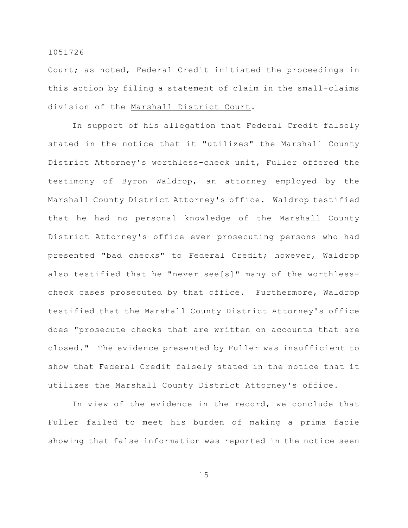Court; as noted, Federal Credit initiated the proceedings in this action by filing a statement of claim in the small-claims division of the Marshall District Court.

In support of his allegation that Federal Credit falsely stated in the notice that it "utilizes" the Marshall County District Attorney's worthless-check unit, Fuller offered the testimony of Byron Waldrop, an attorney employed by the Marshall County District Attorney's office. Waldrop testified that he had no personal knowledge of the Marshall County District Attorney's office ever prosecuting persons who had presented "bad checks" to Federal Credit; however, Waldrop also testified that he "never see[s]" many of the worthlesscheck cases prosecuted by that office. Furthermore, Waldrop testified that the Marshall County District Attorney's office does "prosecute checks that are written on accounts that are closed." The evidence presented by Fuller was insufficient to show that Federal Credit falsely stated in the notice that it utilizes the Marshall County District Attorney's office.

In view of the evidence in the record, we conclude that Fuller failed to meet his burden of making a prima facie showing that false information was reported in the notice seen